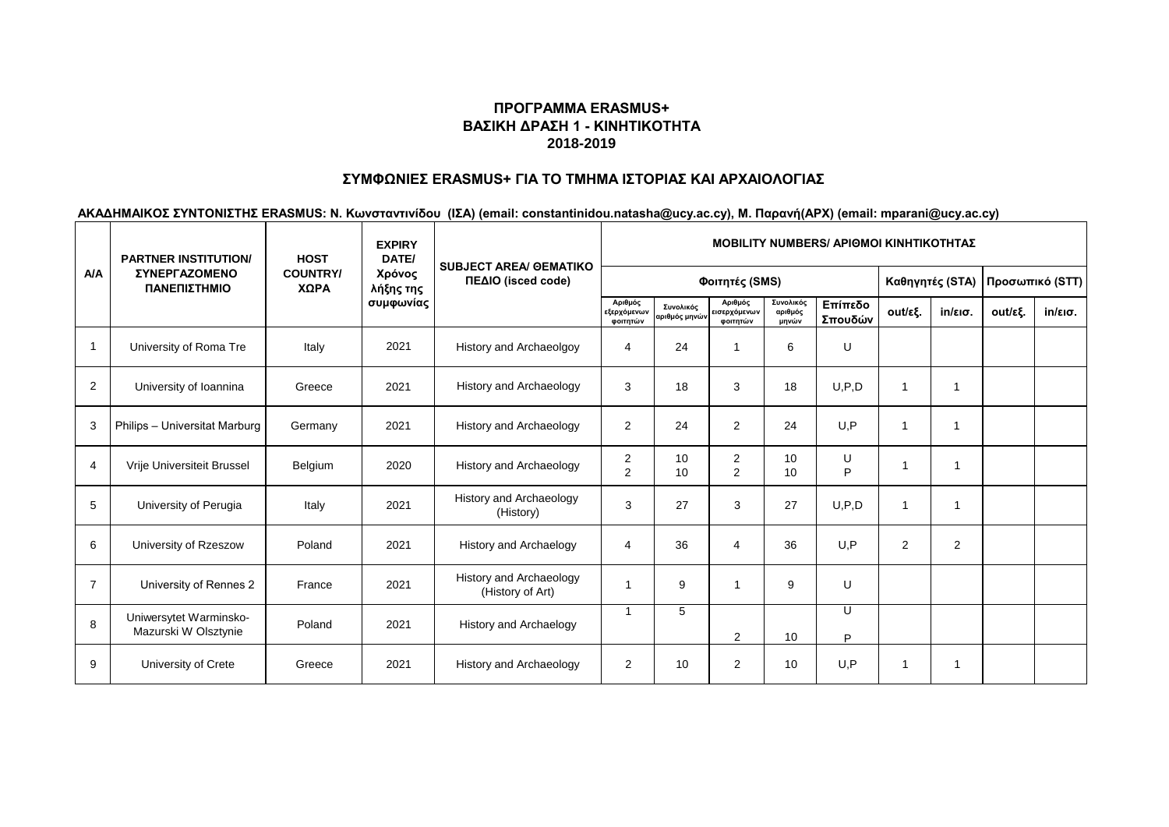# **ΣΥΜΦΩΝΙΕΣ ERASMUS+ ΓΙΑ ΤΟ ΤΜΗΜΑ ΙΣΤΟΡΙΑΣ ΚΑΙ ΑΡΧΑΙΟΛΟΓΙΑΣ**

|                | <b>PARTNER INSTITUTION/</b><br><b>ΣΥΝΕΡΓΑΖΟΜΕΝΟ</b><br>ΠΑΝΕΠΙΣΤΗΜΙΟ | <b>HOST</b>             | <b>EXPIRY</b><br>DATE/           | <b>SUBJECT AREA/ GEMATIKO</b><br>ΠΕΔΙΟ (isced code) | <b>MOBILITY NUMBERS/ APIOMOI KINHTIKOTHTAZ</b> |                            |                                     |                               |                    |                 |                   |                 |                   |  |
|----------------|---------------------------------------------------------------------|-------------------------|----------------------------------|-----------------------------------------------------|------------------------------------------------|----------------------------|-------------------------------------|-------------------------------|--------------------|-----------------|-------------------|-----------------|-------------------|--|
| <b>A/A</b>     |                                                                     | <b>COUNTRY/</b><br>ΧΩΡΑ | Χρόνος<br>λήξης της<br>συμφωνίας |                                                     |                                                |                            | Φοιτητές (SMS)                      |                               |                    | Καθηγητές (STA) |                   | Προσωπικό (STT) |                   |  |
|                |                                                                     |                         |                                  |                                                     | Αριθμός<br>εξερχόμενων<br>φοιτητών             | Συνολικός<br>αριθμός μηνών | Αριθμός<br>εισερχόμενων<br>φοιτητών | Συνολικός<br>αριθμός<br>μηνών | Επίπεδο<br>Σπουδών | out/εξ.         | $in/\epsilon$ ισ. | out/εξ.         | $in/\epsilon$ ισ. |  |
|                | University of Roma Tre                                              | Italy                   | 2021                             | History and Archaeolgoy                             | $\overline{4}$                                 | 24                         |                                     | 6                             | U                  |                 |                   |                 |                   |  |
| 2              | University of Ioannina                                              | Greece                  | 2021                             | History and Archaeology                             | 3                                              | 18                         | 3                                   | 18                            | U, P, D            | $\mathbf 1$     |                   |                 |                   |  |
| 3              | Philips - Universitat Marburg                                       | Germany                 | 2021                             | History and Archaeology                             | $\overline{2}$                                 | 24                         | $\overline{2}$                      | 24                            | U.P                | $\mathbf{1}$    |                   |                 |                   |  |
| 4              | Vrije Universiteit Brussel                                          | Belgium                 | 2020                             | History and Archaeology                             | 2<br>2                                         | 10<br>10                   | $\overline{2}$<br>2                 | 10<br>10                      | U<br>P             | 1               | -1                |                 |                   |  |
| 5              | University of Perugia                                               | Italy                   | 2021                             | History and Archaeology<br>(History)                | 3                                              | 27                         | 3                                   | 27                            | U, P, D            | $\mathbf 1$     | $\mathbf{1}$      |                 |                   |  |
| 6              | University of Rzeszow                                               | Poland                  | 2021                             | <b>History and Archaelogy</b>                       | 4                                              | 36                         | $\boldsymbol{\Delta}$               | 36                            | U.P                | 2               | 2                 |                 |                   |  |
| $\overline{7}$ | University of Rennes 2                                              | France                  | 2021                             | History and Archaeology<br>(History of Art)         |                                                | 9                          |                                     | 9                             | U                  |                 |                   |                 |                   |  |
| 8              | Uniwersytet Warminsko-<br>Mazurski W Olsztynie                      | Poland                  | 2021                             | <b>History and Archaelogy</b>                       | -1                                             | 5                          | 2                                   | 10                            | U<br>P             |                 |                   |                 |                   |  |
| 9              | University of Crete                                                 | Greece                  | 2021                             | History and Archaeology                             | $\overline{2}$                                 | 10                         | 2                                   | 10                            | U.P                | 1               | 1                 |                 |                   |  |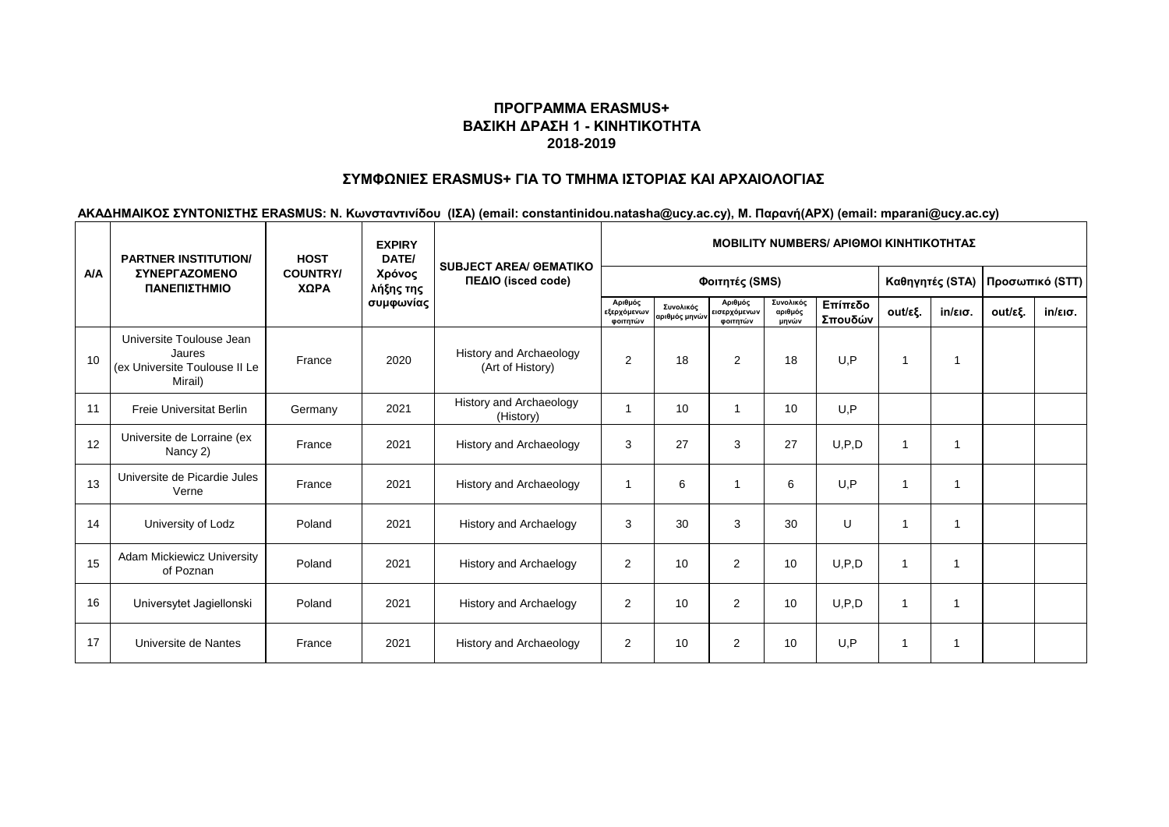# **ΣΥΜΦΩΝΙΕΣ ERASMUS+ ΓΙΑ ΤΟ ΤΜΗΜΑ ΙΣΤΟΡΙΑΣ ΚΑΙ ΑΡΧΑΙΟΛΟΓΙΑΣ**

|            | <b>PARTNER INSTITUTION/</b><br><b><i>ΣΥΝΕΡΓΑΖΟΜΕΝΟ</i></b><br>ΠΑΝΕΠΙΣΤΗΜΙΟ     | <b>HOST</b>             | <b>EXPIRY</b><br>DATE/           | <b>SUBJECT AREA/ GEMATIKO</b><br>ΠΕΔΙΟ (isced code) | <b>MOBILITY NUMBERS/ APIOMOI KINHTIKOTHTAZ</b> |                            |                                     |                               |                    |                 |                         |                 |                   |  |
|------------|--------------------------------------------------------------------------------|-------------------------|----------------------------------|-----------------------------------------------------|------------------------------------------------|----------------------------|-------------------------------------|-------------------------------|--------------------|-----------------|-------------------------|-----------------|-------------------|--|
| <b>A/A</b> |                                                                                | <b>COUNTRY/</b><br>ΧΩΡΑ | Χρόνος<br>λήξης της<br>συμφωνίας |                                                     |                                                |                            | Φοιτητές (SMS)                      |                               |                    | Καθηγητές (STA) |                         | Προσωπικό (STT) |                   |  |
|            |                                                                                |                         |                                  |                                                     | Αριθμός<br>εξερχόμενων<br>φοιτητών             | Συνολικός<br>αριθμός μηνών | Αριθμός<br>εισερχόμενων<br>φοιτητών | Συνολικός<br>αριθμός<br>μηνών | Επίπεδο<br>Σπουδών | out/εξ.         | $in/\epsilon$ ισ.       | out/εξ.         | $in/\epsilon$ ισ. |  |
| 10         | Universite Toulouse Jean<br>Jaures<br>(ex Universite Toulouse II Le<br>Mirail) | France                  | 2020                             | <b>History and Archaeology</b><br>(Art of History)  | 2                                              | 18                         | 2                                   | 18                            | U.P                | 1               |                         |                 |                   |  |
| 11         | <b>Freie Universitat Berlin</b>                                                | Germany                 | 2021                             | History and Archaeology<br>(History)                |                                                | 10                         |                                     | 10                            | U.P                |                 |                         |                 |                   |  |
| 12         | Universite de Lorraine (ex<br>Nancy 2)                                         | France                  | 2021                             | <b>History and Archaeology</b>                      | 3                                              | 27                         | 3                                   | 27                            | U, P, D            | 1               | $\overline{\mathbf{1}}$ |                 |                   |  |
| 13         | Universite de Picardie Jules<br>Verne                                          | France                  | 2021                             | <b>History and Archaeology</b>                      |                                                | 6                          |                                     | 6                             | U.P                | 1               | 1                       |                 |                   |  |
| 14         | University of Lodz                                                             | Poland                  | 2021                             | History and Archaelogy                              | 3                                              | 30                         | 3                                   | 30                            | U                  | 1               | -1                      |                 |                   |  |
| 15         | Adam Mickiewicz University<br>of Poznan                                        | Poland                  | 2021                             | <b>History and Archaelogy</b>                       | $\overline{2}$                                 | 10                         | $\overline{2}$                      | 10                            | U.P.D              | $\mathbf{1}$    |                         |                 |                   |  |
| 16         | Universytet Jagiellonski                                                       | Poland                  | 2021                             | <b>History and Archaelogy</b>                       | 2                                              | 10                         | $\overline{2}$                      | 10                            | U, P, D            | $\overline{1}$  |                         |                 |                   |  |
| 17         | Universite de Nantes                                                           | France                  | 2021                             | <b>History and Archaeology</b>                      | $\overline{2}$                                 | 10                         | $\overline{2}$                      | 10                            | U.P                | $\mathbf 1$     |                         |                 |                   |  |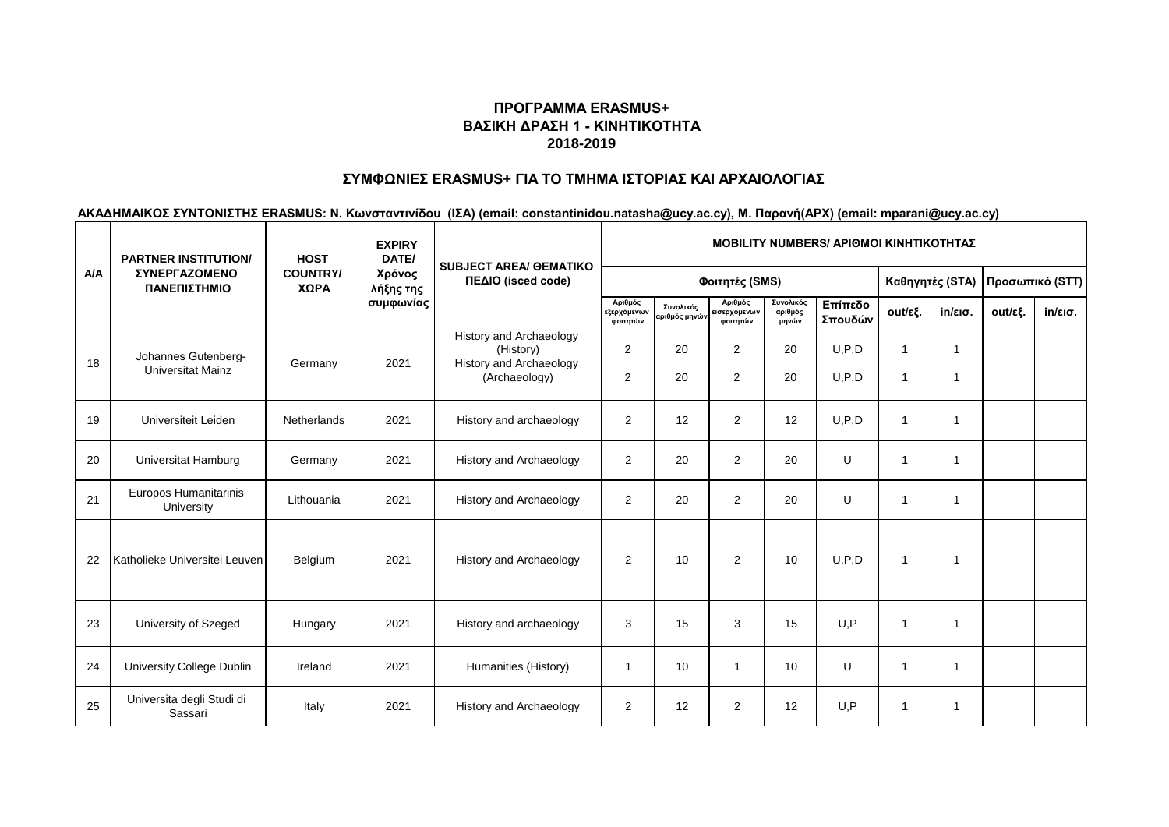# **ΣΥΜΦΩΝΙΕΣ ERASMUS+ ΓΙΑ ΤΟ ΤΜΗΜΑ ΙΣΤΟΡΙΑΣ ΚΑΙ ΑΡΧΑΙΟΛΟΓΙΑΣ**

|            | <b>PARTNER INSTITUTION/</b><br><b>ΣΥΝΕΡΓΑΖΟΜΕΝΟ</b><br>ΠΑΝΕΠΙΣΤΗΜΙΟ | <b>HOST</b><br><b>COUNTRY/</b><br>ΧΩΡΑ | <b>EXPIRY</b><br>DATE/<br>Χρόνος<br>λήξης της | <b>SUBJECT AREA/ GEMATIKO</b>                                                    | <b>MOBILITY NUMBERS/ APIOMOI KINHTIKOTHTAZ</b> |                                 |                                    |                               |                    |                                |                   |         |                   |  |  |
|------------|---------------------------------------------------------------------|----------------------------------------|-----------------------------------------------|----------------------------------------------------------------------------------|------------------------------------------------|---------------------------------|------------------------------------|-------------------------------|--------------------|--------------------------------|-------------------|---------|-------------------|--|--|
| <b>A/A</b> |                                                                     |                                        |                                               | ΠΕΔΙΟ (isced code)                                                               |                                                | Φοιτητές (SMS)                  |                                    | Καθηγητές (STA)               |                    | Προσωπικό (STT)                |                   |         |                   |  |  |
|            |                                                                     |                                        | συμφωνίας                                     |                                                                                  | Αριθμός<br>εξερχόμενων<br>φοιτητών             | Συνολικός<br>.<br>πριθμός μηνών | Αριθμός<br>ισερχόμενων<br>φοιτητών | Συνολικός<br>αριθμός<br>μηνών | Επίπεδο<br>Σπουδών | out/εξ.                        | $in/\epsilon$ ισ. | out/εξ. | $in/\epsilon$ ισ. |  |  |
| 18         | Johannes Gutenberg-<br><b>Universitat Mainz</b>                     | Germany                                | 2021                                          | History and Archaeology<br>(History)<br>History and Archaeology<br>(Archaeology) | $\overline{2}$<br>$\overline{2}$               | 20<br>20                        | $\overline{2}$<br>2                | 20<br>20                      | U, P, D<br>U, P, D | $\overline{1}$<br>$\mathbf{1}$ | $\overline{1}$    |         |                   |  |  |
| 19         | Universiteit Leiden                                                 | Netherlands                            | 2021                                          | History and archaeology                                                          | $\overline{2}$                                 | 12                              | 2                                  | 12                            | U, P, D            | $\mathbf{1}$                   |                   |         |                   |  |  |
| 20         | Universitat Hamburg                                                 | Germany                                | 2021                                          | History and Archaeology                                                          | $\overline{2}$                                 | 20                              | 2                                  | 20                            | U                  | $\mathbf{1}$                   | $\overline{1}$    |         |                   |  |  |
| 21         | Europos Humanitarinis<br>University                                 | Lithouania                             | 2021                                          | History and Archaeology                                                          | $\overline{2}$                                 | 20                              | $\overline{2}$                     | 20                            | U                  | $\mathbf{1}$                   | -1                |         |                   |  |  |
| 22         | Katholieke Universitei Leuven                                       | Belgium                                | 2021                                          | History and Archaeology                                                          | $\overline{2}$                                 | 10                              | 2                                  | 10                            | U, P, D            | $\overline{1}$                 | -1                |         |                   |  |  |
| 23         | University of Szeged                                                | Hungary                                | 2021                                          | History and archaeology                                                          | 3                                              | 15                              | 3                                  | 15                            | U.P                | $\mathbf{1}$                   | $\mathbf{1}$      |         |                   |  |  |
| 24         | <b>University College Dublin</b>                                    | Ireland                                | 2021                                          | Humanities (History)                                                             | -1                                             | 10                              | 1                                  | 10                            | U                  | $\mathbf{1}$                   | $\mathbf{1}$      |         |                   |  |  |
| 25         | Universita degli Studi di<br>Sassari                                | Italy                                  | 2021                                          | History and Archaeology                                                          | $\overline{2}$                                 | 12                              | 2                                  | 12                            | U.P                | $\mathbf{1}$                   | -1                |         |                   |  |  |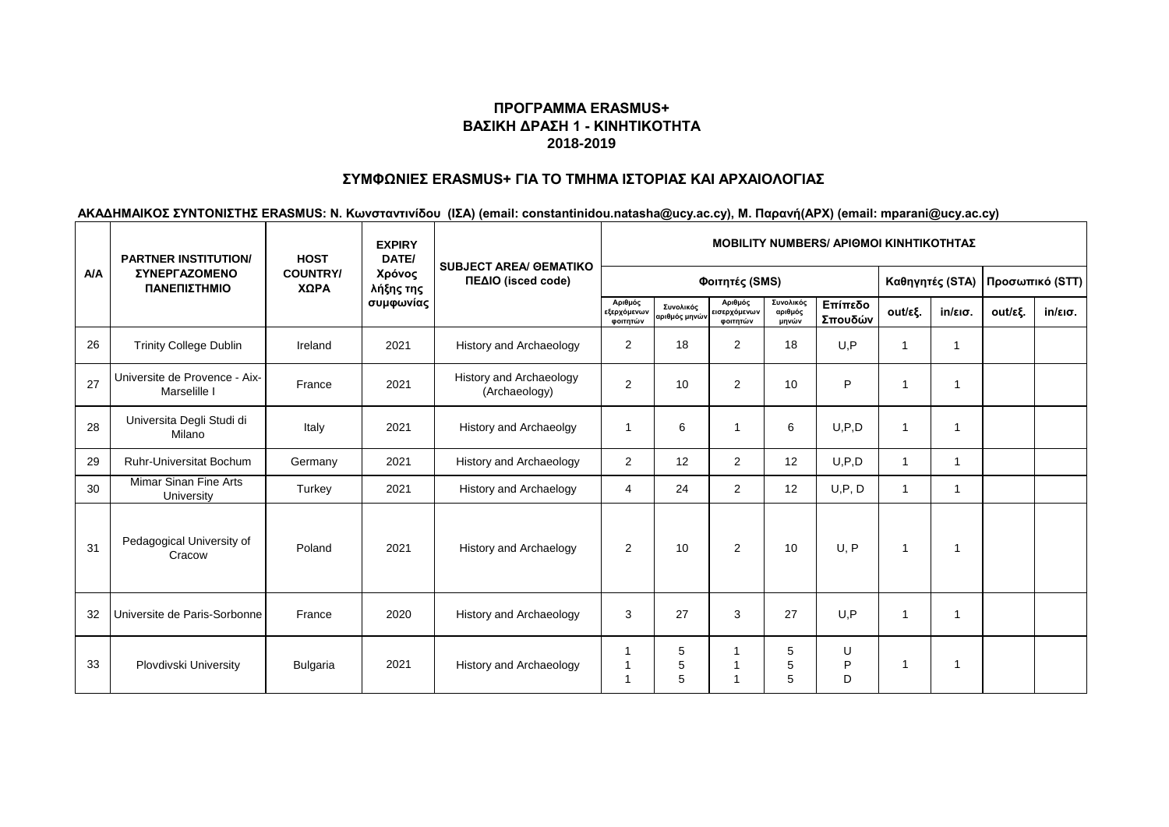# **ΣΥΜΦΩΝΙΕΣ ERASMUS+ ΓΙΑ ΤΟ ΤΜΗΜΑ ΙΣΤΟΡΙΑΣ ΚΑΙ ΑΡΧΑΙΟΛΟΓΙΑΣ**

|            | <b>PARTNER INSTITUTION/</b>                   | <b>HOST</b><br><b>COUNTRY/</b><br>ΧΩΡΑ | <b>EXPIRY</b><br>DATE/           | <b>SUBJECT AREA/ GEMATIKO</b><br>ΠΕΔΙΟ (isced code) | <b>MOBILITY NUMBERS/ APIOMOI KINHTIKOTHTAZ</b> |                            |                                     |                               |                    |                 |                         |         |                   |  |
|------------|-----------------------------------------------|----------------------------------------|----------------------------------|-----------------------------------------------------|------------------------------------------------|----------------------------|-------------------------------------|-------------------------------|--------------------|-----------------|-------------------------|---------|-------------------|--|
| <b>A/A</b> | <b>ΣΥΝΕΡΓΑΖΟΜΕΝΟ</b><br>ΠΑΝΕΠΙΣΤΗΜΙΟ          |                                        | Χρόνος<br>λήξης της<br>συμφωνίας |                                                     |                                                | Φοιτητές (SMS)             |                                     |                               | Καθηγητές (STA)    | Προσωπικό (STT) |                         |         |                   |  |
|            |                                               |                                        |                                  |                                                     | Αριθμός<br>εξερχόμενων<br>φοιτητών             | Συνολικός<br>αριθμός μηνών | Αριθμός<br>εισερχόμενων<br>φοιτητών | Συνολικός<br>αριθμός<br>μηνών | Επίπεδο<br>Σπουδών | out/εξ.         | $in/\epsilon$ ισ.       | out/εξ. | $in/\epsilon$ ισ. |  |
| 26         | <b>Trinity College Dublin</b>                 | Ireland                                | 2021                             | History and Archaeology                             | $\overline{2}$                                 | 18                         | 2                                   | 18                            | U.P                | $\mathbf 1$     |                         |         |                   |  |
| 27         | Universite de Provence - Aix-<br>Marselille I | France                                 | 2021                             | History and Archaeology<br>(Archaeology)            | $\overline{2}$                                 | 10                         | 2                                   | 10                            | P                  | 1               | $\overline{\mathbf{1}}$ |         |                   |  |
| 28         | Universita Degli Studi di<br>Milano           | Italy                                  | 2021                             | History and Archaeolgy                              | -1                                             | 6                          |                                     | 6                             | U, P, D            | 1               | $\overline{1}$          |         |                   |  |
| 29         | <b>Ruhr-Universitat Bochum</b>                | Germany                                | 2021                             | <b>History and Archaeology</b>                      | $\overline{2}$                                 | 12                         | 2                                   | 12                            | U, P, D            | 1               | $\mathbf 1$             |         |                   |  |
| 30         | Mimar Sinan Fine Arts<br>University           | Turkey                                 | 2021                             | <b>History and Archaelogy</b>                       | 4                                              | 24                         | 2                                   | 12                            | U, P, D            | $\mathbf 1$     | $\mathbf{1}$            |         |                   |  |
| 31         | Pedagogical University of<br>Cracow           | Poland                                 | 2021                             | <b>History and Archaelogy</b>                       | $\overline{2}$                                 | 10                         | 2                                   | 10                            | U.P                | $\overline{1}$  | -1                      |         |                   |  |
| 32         | Universite de Paris-Sorbonne                  | France                                 | 2020                             | <b>History and Archaeology</b>                      | 3                                              | 27                         | 3                                   | 27                            | U.P                | 1               | 1                       |         |                   |  |
| 33         | Plovdivski University                         | <b>Bulgaria</b>                        | 2021                             | <b>History and Archaeology</b>                      |                                                | 5<br>5<br>5                |                                     | 5<br>5<br>5                   | U<br>P<br>D        | 1               | $\overline{\mathbf{A}}$ |         |                   |  |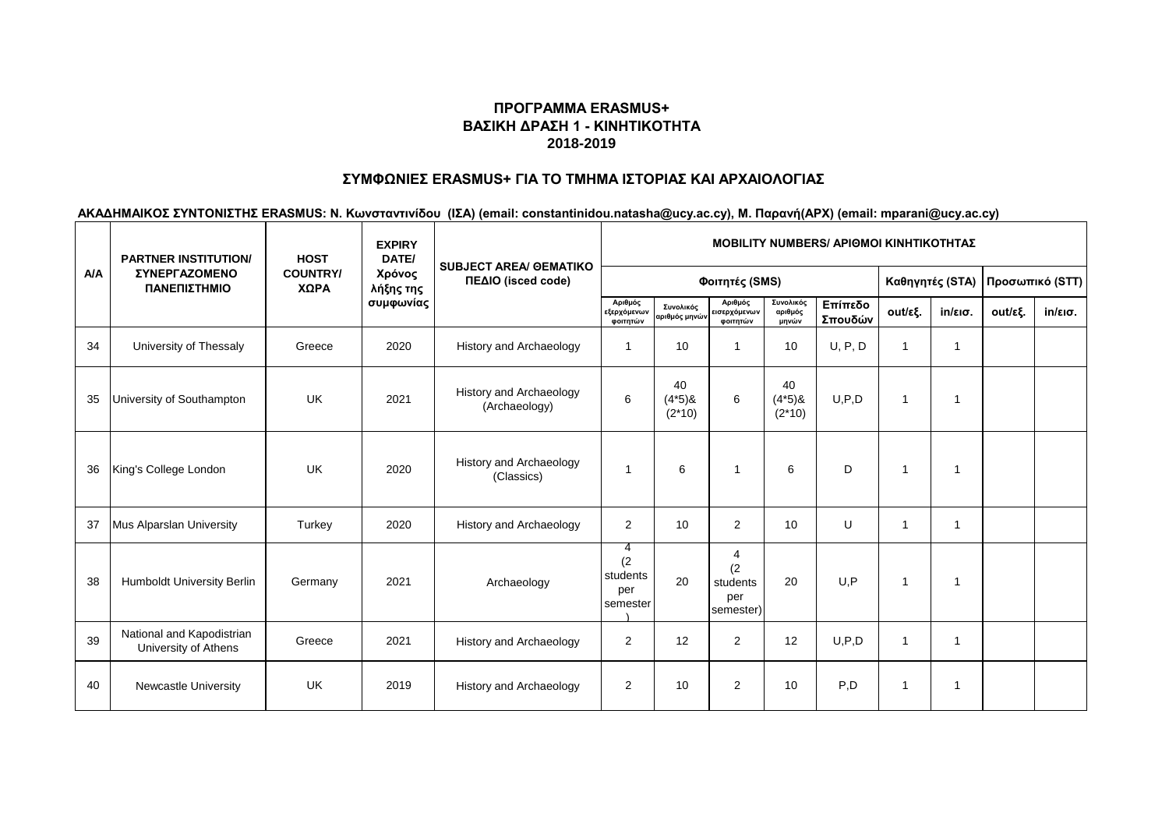# **ΣΥΜΦΩΝΙΕΣ ERASMUS+ ΓΙΑ ΤΟ ΤΜΗΜΑ ΙΣΤΟΡΙΑΣ ΚΑΙ ΑΡΧΑΙΟΛΟΓΙΑΣ**

|            | <b>PARTNER INSTITUTION/</b><br><b><i>ΣΥΝΕΡΓΑΖΟΜΕΝΟ</i></b><br>ΠΑΝΕΠΙΣΤΗΜΙΟ | <b>HOST</b>             | <b>EXPIRY</b><br>DATE/ | <b>SUBJECT AREA/ GEMATIKO</b><br>ΠΕΔΙΟ (isced code) | <b>MOBILITY NUMBERS/ APIOMOI KINHTIKOTHTAZ</b> |                            |                                          |                               |                    |             |                   |         |                   |  |
|------------|----------------------------------------------------------------------------|-------------------------|------------------------|-----------------------------------------------------|------------------------------------------------|----------------------------|------------------------------------------|-------------------------------|--------------------|-------------|-------------------|---------|-------------------|--|
| <b>A/A</b> |                                                                            | <b>COUNTRY/</b><br>ΧΩΡΑ | Χρόνος<br>λήξης της    |                                                     |                                                |                            | Καθηγητές (STA)                          |                               | Προσωπικό (STT)    |             |                   |         |                   |  |
|            |                                                                            |                         | συμφωνίας              |                                                     | Αριθμός<br>εξερχόμενων<br>φοιτητών             | Συνολικός<br>αριθμός μηνών | Αριθμός<br>εισερχόμενων<br>φοιτητών      | Συνολικός<br>αριθμός<br>μηνών | Επίπεδο<br>Σπουδών | out/εξ.     | $in/\epsilon$ ισ. | out/εξ. | $in/\epsilon$ ισ. |  |
| 34         | University of Thessaly                                                     | Greece                  | 2020                   | History and Archaeology                             |                                                | 10                         |                                          | 10                            | U, P, D            | -1          |                   |         |                   |  |
| 35         | University of Southampton                                                  | UK                      | 2021                   | <b>History and Archaeology</b><br>(Archaeology)     | 6                                              | 40<br>$(4*5)8$<br>$(2*10)$ | 6                                        | 40<br>$(4*5)8$<br>$(2*10)$    | U, P, D            | $\mathbf 1$ | 1                 |         |                   |  |
| 36         | King's College London                                                      | UK                      | 2020                   | <b>History and Archaeology</b><br>(Classics)        |                                                | 6                          |                                          | 6                             | D                  | -1          | $\mathbf 1$       |         |                   |  |
| 37         | Mus Alparslan University                                                   | Turkey                  | 2020                   | <b>History and Archaeology</b>                      | $\overline{2}$                                 | 10                         | 2                                        | 10                            | U                  | 1           | $\overline{1}$    |         |                   |  |
| 38         | Humboldt University Berlin                                                 | Germany                 | 2021                   | Archaeology                                         | 4<br>(2)<br>students<br>per<br>semester        | 20                         | 4<br>(2)<br>students<br>per<br>semester) | 20                            | U, P               | 1           | 1                 |         |                   |  |
| 39         | National and Kapodistrian<br>University of Athens                          | Greece                  | 2021                   | <b>History and Archaeology</b>                      | $\overline{2}$                                 | 12                         | $\overline{2}$                           | 12                            | U.P.D              | -1          | $\overline{1}$    |         |                   |  |
| 40         | Newcastle University                                                       | <b>UK</b>               | 2019                   | <b>History and Archaeology</b>                      | $\overline{2}$                                 | 10                         | 2                                        | 10                            | P.D                | -1          | 1                 |         |                   |  |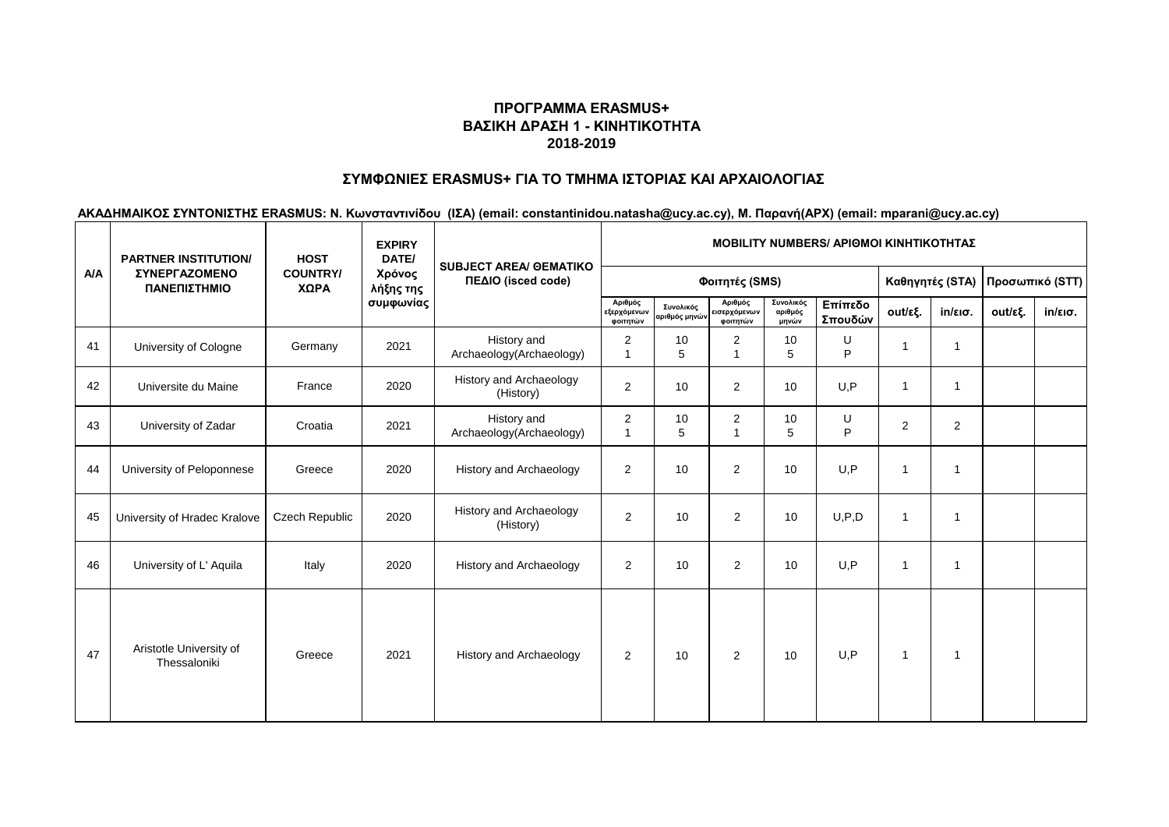# **ΣΥΜΦΩΝΙΕΣ ERASMUS+ ΓΙΑ ΤΟ ΤΜΗΜΑ ΙΣΤΟΡΙΑΣ ΚΑΙ ΑΡΧΑΙΟΛΟΓΙΑΣ**

|            | <b>PARTNER INSTITUTION/</b><br><b>ΣΥΝΕΡΓΑΖΟΜΕΝΟ</b><br>ΠΑΝΕΠΙΣΤΗΜΙΟ | <b>HOST</b>             | <b>EXPIRY</b><br>DATE/ | <b>SUBJECT AREA/ GEMATIKO</b><br>ΠΕΔΙΟ (isced code) | <b>MOBILITY NUMBERS/ APIOMOI KINHTIKOTHTAZ</b> |                            |                                     |                               |                    |                |                         |         |                   |  |
|------------|---------------------------------------------------------------------|-------------------------|------------------------|-----------------------------------------------------|------------------------------------------------|----------------------------|-------------------------------------|-------------------------------|--------------------|----------------|-------------------------|---------|-------------------|--|
| <b>A/A</b> |                                                                     | <b>COUNTRY/</b><br>ΧΩΡΑ | Χρόνος<br>λήξης της    |                                                     |                                                |                            | Καθηγητές (STA)                     |                               | Προσωπικό (STT)    |                |                         |         |                   |  |
|            |                                                                     |                         | συμφωνίας              |                                                     | Αριθμός<br>εξερχόμενων<br>φοιτητών             | Συνολικός<br>αριθμός μηνών | Αριθμός<br>εισερχόμενων<br>φοιτητών | Συνολικός<br>αριθμός<br>μηνών | Επίπεδο<br>Σπουδών | out/εξ.        | $in/\epsilon$ ισ.       | out/εξ. | $in/\epsilon$ ισ. |  |
| 41         | University of Cologne                                               | Germany                 | 2021                   | History and<br>Archaeology(Archaeology)             | 2                                              | 10<br>5                    | $\overline{2}$                      | 10<br>5                       | U<br>P             | 1              | $\overline{\mathbf{1}}$ |         |                   |  |
| 42         | Universite du Maine                                                 | France                  | 2020                   | History and Archaeology<br>(History)                | $\overline{2}$                                 | 10                         | 2                                   | 10                            | U.P                | $\mathbf 1$    | $\mathbf{1}$            |         |                   |  |
| 43         | University of Zadar                                                 | Croatia                 | 2021                   | History and<br>Archaeology(Archaeology)             | 2<br>$\overline{1}$                            | 10<br>5                    | 2                                   | 10<br>5                       | U<br>P             | 2              | 2                       |         |                   |  |
| 44         | University of Peloponnese                                           | Greece                  | 2020                   | History and Archaeology                             | $\overline{2}$                                 | 10                         | 2                                   | 10                            | U, P               | 1              | $\overline{\mathbf{1}}$ |         |                   |  |
| 45         | University of Hradec Kralove                                        | <b>Czech Republic</b>   | 2020                   | History and Archaeology<br>(History)                | $\overline{2}$                                 | 10                         | 2                                   | 10                            | U, P, D            | $\overline{1}$ | $\mathbf{1}$            |         |                   |  |
| 46         | University of L' Aquila                                             | Italy                   | 2020                   | History and Archaeology                             | $\overline{2}$                                 | 10                         | 2                                   | 10                            | U, P               | $\mathbf 1$    | $\mathbf{1}$            |         |                   |  |
| 47         | Aristotle University of<br>Thessaloniki                             | Greece                  | 2021                   | <b>History and Archaeology</b>                      | $\overline{2}$                                 | 10                         | $\overline{2}$                      | 10                            | U.P                | $\mathbf{1}$   | -1                      |         |                   |  |